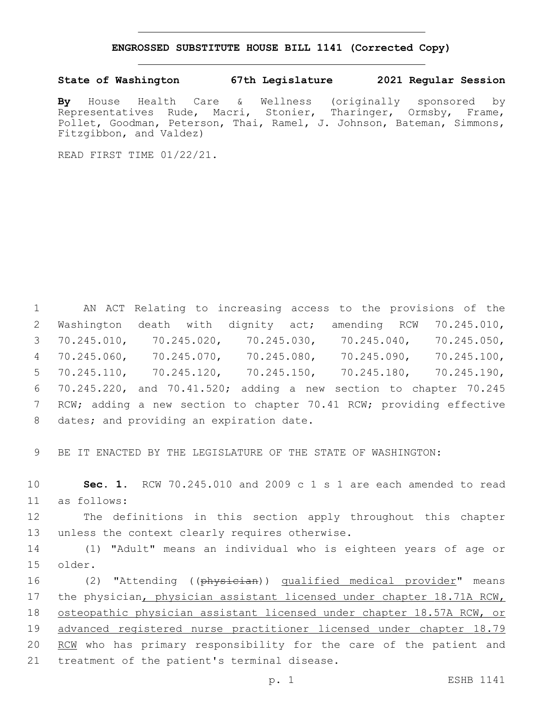## **ENGROSSED SUBSTITUTE HOUSE BILL 1141 (Corrected Copy)**

## **State of Washington 67th Legislature 2021 Regular Session**

**By** House Health Care & Wellness (originally sponsored by Representatives Rude, Macri, Stonier, Tharinger, Ormsby, Frame, Pollet, Goodman, Peterson, Thai, Ramel, J. Johnson, Bateman, Simmons, Fitzgibbon, and Valdez)

READ FIRST TIME 01/22/21.

 AN ACT Relating to increasing access to the provisions of the Washington death with dignity act; amending RCW 70.245.010, 70.245.010, 70.245.020, 70.245.030, 70.245.040, 70.245.050, 70.245.060, 70.245.070, 70.245.080, 70.245.090, 70.245.100, 70.245.110, 70.245.120, 70.245.150, 70.245.180, 70.245.190, 70.245.220, and 70.41.520; adding a new section to chapter 70.245 7 RCW; adding a new section to chapter 70.41 RCW; providing effective 8 dates; and providing an expiration date.

9 BE IT ENACTED BY THE LEGISLATURE OF THE STATE OF WASHINGTON:

10 **Sec. 1.** RCW 70.245.010 and 2009 c 1 s 1 are each amended to read as follows:11

12 The definitions in this section apply throughout this chapter 13 unless the context clearly requires otherwise.

14 (1) "Adult" means an individual who is eighteen years of age or older.15

16 (2) "Attending ((physician)) qualified medical provider" means 17 the physician, physician assistant licensed under chapter 18.71A RCW, 18 osteopathic physician assistant licensed under chapter 18.57A RCW, or 19 advanced registered nurse practitioner licensed under chapter 18.79 20 RCM who has primary responsibility for the care of the patient and 21 treatment of the patient's terminal disease.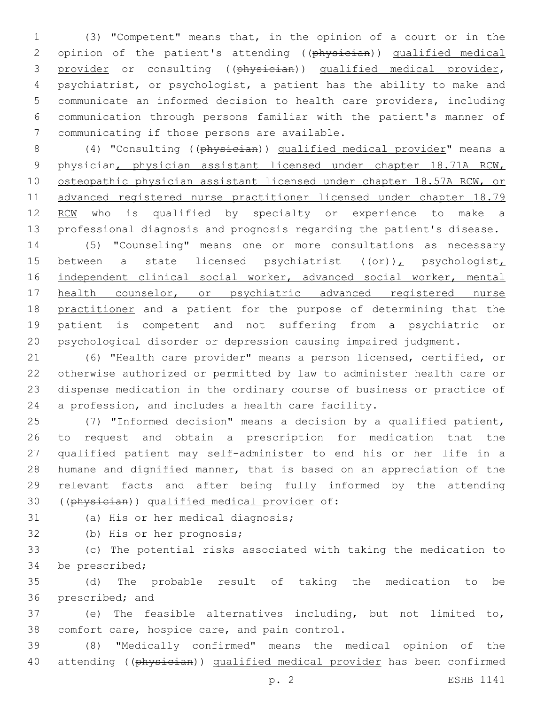(3) "Competent" means that, in the opinion of a court or in the 2 opinion of the patient's attending ((physician)) qualified medical provider or consulting ((physician)) qualified medical provider, psychiatrist, or psychologist, a patient has the ability to make and communicate an informed decision to health care providers, including communication through persons familiar with the patient's manner of 7 communicating if those persons are available.

 (4) "Consulting ((physician)) qualified medical provider" means a physician, physician assistant licensed under chapter 18.71A RCW, 10 osteopathic physician assistant licensed under chapter 18.57A RCW, or advanced registered nurse practitioner licensed under chapter 18.79 12 RCW who is qualified by specialty or experience to make a professional diagnosis and prognosis regarding the patient's disease.

 (5) "Counseling" means one or more consultations as necessary 15 between a state licensed psychiatrist  $((\theta \cdot \mathbf{r}))$ , psychologist, independent clinical social worker, advanced social worker, mental 17 health counselor, or psychiatric advanced registered nurse 18 practitioner and a patient for the purpose of determining that the patient is competent and not suffering from a psychiatric or psychological disorder or depression causing impaired judgment.

 (6) "Health care provider" means a person licensed, certified, or otherwise authorized or permitted by law to administer health care or dispense medication in the ordinary course of business or practice of a profession, and includes a health care facility.

 (7) "Informed decision" means a decision by a qualified patient, to request and obtain a prescription for medication that the qualified patient may self-administer to end his or her life in a humane and dignified manner, that is based on an appreciation of the relevant facts and after being fully informed by the attending 30 ((physician)) qualified medical provider of:

31 (a) His or her medical diagnosis;

32 (b) His or her prognosis;

 (c) The potential risks associated with taking the medication to 34 be prescribed;

 (d) The probable result of taking the medication to be 36 prescribed; and

 (e) The feasible alternatives including, but not limited to, 38 comfort care, hospice care, and pain control.

 (8) "Medically confirmed" means the medical opinion of the 40 attending ((physician)) qualified medical provider has been confirmed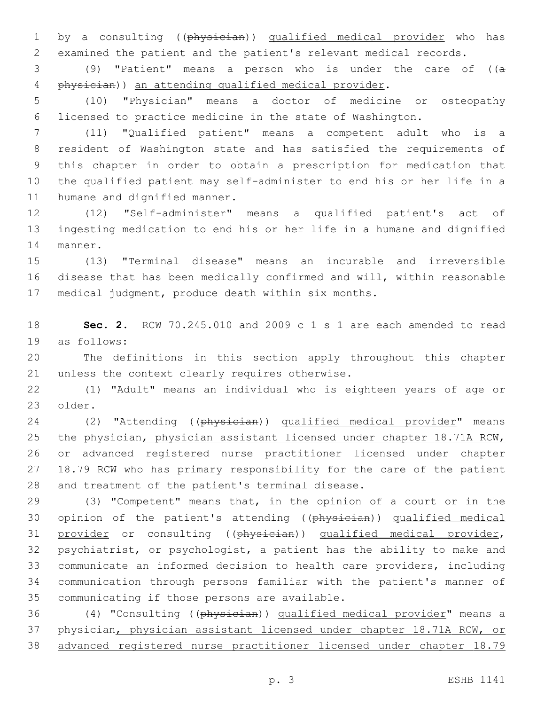1 by a consulting ((physician)) qualified medical provider who has examined the patient and the patient's relevant medical records.

 (9) "Patient" means a person who is under the care of ((a physician)) an attending qualified medical provider.

 (10) "Physician" means a doctor of medicine or osteopathy licensed to practice medicine in the state of Washington.

 (11) "Qualified patient" means a competent adult who is a resident of Washington state and has satisfied the requirements of this chapter in order to obtain a prescription for medication that the qualified patient may self-administer to end his or her life in a 11 humane and dignified manner.

 (12) "Self-administer" means a qualified patient's act of ingesting medication to end his or her life in a humane and dignified 14 manner.

 (13) "Terminal disease" means an incurable and irreversible disease that has been medically confirmed and will, within reasonable medical judgment, produce death within six months.

 **Sec. 2.** RCW 70.245.010 and 2009 c 1 s 1 are each amended to read 19 as follows:

 The definitions in this section apply throughout this chapter 21 unless the context clearly requires otherwise.

 (1) "Adult" means an individual who is eighteen years of age or 23 older.

24 (2) "Attending ((physician)) qualified medical provider" means 25 the physician, physician assistant licensed under chapter 18.71A RCW, or advanced registered nurse practitioner licensed under chapter 27 18.79 RCM who has primary responsibility for the care of the patient 28 and treatment of the patient's terminal disease.

 (3) "Competent" means that, in the opinion of a court or in the 30 opinion of the patient's attending ((physician)) qualified medical 31 provider or consulting ((physician)) qualified medical provider, psychiatrist, or psychologist, a patient has the ability to make and communicate an informed decision to health care providers, including communication through persons familiar with the patient's manner of 35 communicating if those persons are available.

 (4) "Consulting ((physician)) qualified medical provider" means a physician, physician assistant licensed under chapter 18.71A RCW, or advanced registered nurse practitioner licensed under chapter 18.79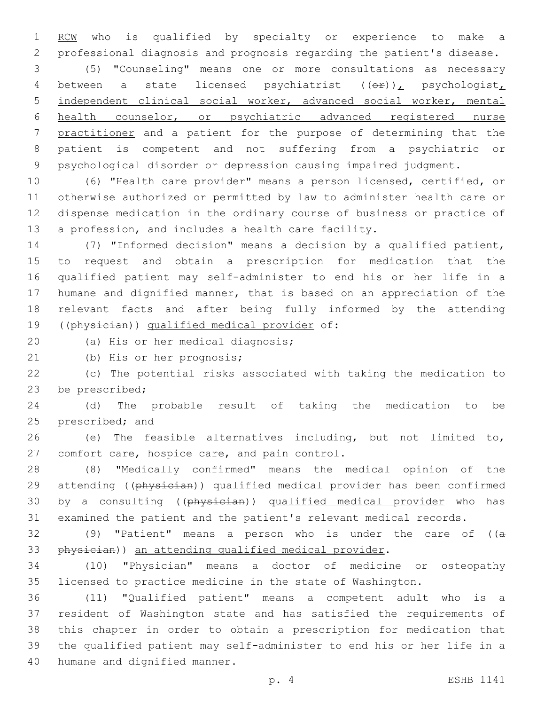1 RCM who is qualified by specialty or experience to make a professional diagnosis and prognosis regarding the patient's disease.

 (5) "Counseling" means one or more consultations as necessary 4 between a state licensed psychiatrist  $((\theta \cdot \mathbf{r}))_L$  psychologist, independent clinical social worker, advanced social worker, mental health counselor, or psychiatric advanced registered nurse practitioner and a patient for the purpose of determining that the patient is competent and not suffering from a psychiatric or psychological disorder or depression causing impaired judgment.

 (6) "Health care provider" means a person licensed, certified, or otherwise authorized or permitted by law to administer health care or dispense medication in the ordinary course of business or practice of a profession, and includes a health care facility.

 (7) "Informed decision" means a decision by a qualified patient, to request and obtain a prescription for medication that the qualified patient may self-administer to end his or her life in a humane and dignified manner, that is based on an appreciation of the relevant facts and after being fully informed by the attending 19 ((physician)) qualified medical provider of:

20 (a) His or her medical diagnosis;

21 (b) His or her prognosis;

 (c) The potential risks associated with taking the medication to 23 be prescribed;

 (d) The probable result of taking the medication to be 25 prescribed; and

 (e) The feasible alternatives including, but not limited to, 27 comfort care, hospice care, and pain control.

 (8) "Medically confirmed" means the medical opinion of the 29 attending ((physician)) qualified medical provider has been confirmed 30 by a consulting ((physician)) qualified medical provider who has examined the patient and the patient's relevant medical records.

32 (9) "Patient" means a person who is under the care of  $((a - b)^2)$ 33 physician)) an attending qualified medical provider.

 (10) "Physician" means a doctor of medicine or osteopathy licensed to practice medicine in the state of Washington.

 (11) "Qualified patient" means a competent adult who is a resident of Washington state and has satisfied the requirements of this chapter in order to obtain a prescription for medication that the qualified patient may self-administer to end his or her life in a 40 humane and dignified manner.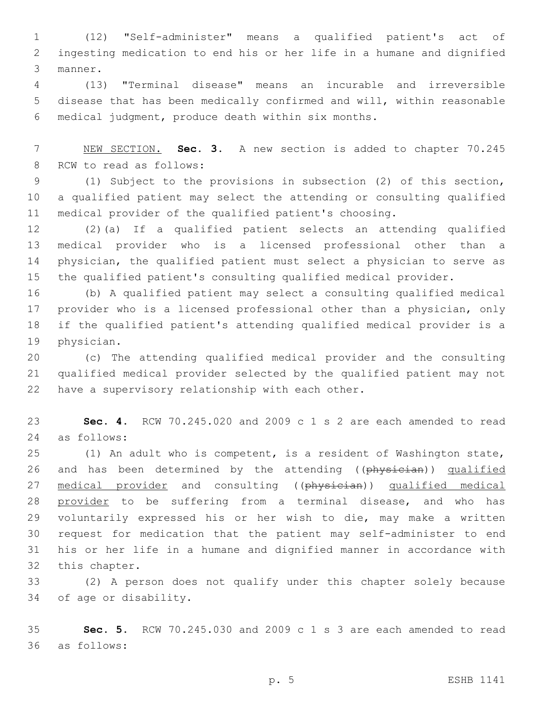(12) "Self-administer" means a qualified patient's act of ingesting medication to end his or her life in a humane and dignified 3 manner.

 (13) "Terminal disease" means an incurable and irreversible disease that has been medically confirmed and will, within reasonable medical judgment, produce death within six months.6

 NEW SECTION. **Sec. 3.** A new section is added to chapter 70.245 8 RCW to read as follows:

 (1) Subject to the provisions in subsection (2) of this section, a qualified patient may select the attending or consulting qualified medical provider of the qualified patient's choosing.

 (2)(a) If a qualified patient selects an attending qualified medical provider who is a licensed professional other than a physician, the qualified patient must select a physician to serve as the qualified patient's consulting qualified medical provider.

 (b) A qualified patient may select a consulting qualified medical provider who is a licensed professional other than a physician, only if the qualified patient's attending qualified medical provider is a 19 physician.

 (c) The attending qualified medical provider and the consulting qualified medical provider selected by the qualified patient may not 22 have a supervisory relationship with each other.

 **Sec. 4.** RCW 70.245.020 and 2009 c 1 s 2 are each amended to read as follows:24

 (1) An adult who is competent, is a resident of Washington state, 26 and has been determined by the attending ((physician)) qualified 27 medical provider and consulting ((physician)) qualified medical 28 provider to be suffering from a terminal disease, and who has voluntarily expressed his or her wish to die, may make a written request for medication that the patient may self-administer to end his or her life in a humane and dignified manner in accordance with 32 this chapter.

 (2) A person does not qualify under this chapter solely because 34 of age or disability.

 **Sec. 5.** RCW 70.245.030 and 2009 c 1 s 3 are each amended to read as follows:36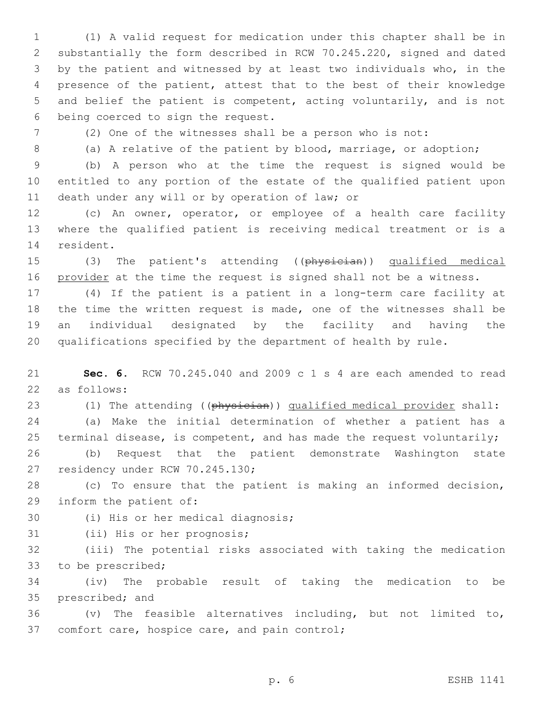(1) A valid request for medication under this chapter shall be in substantially the form described in RCW 70.245.220, signed and dated by the patient and witnessed by at least two individuals who, in the presence of the patient, attest that to the best of their knowledge and belief the patient is competent, acting voluntarily, and is not 6 being coerced to sign the request.

7 (2) One of the witnesses shall be a person who is not:

8 (a) A relative of the patient by blood, marriage, or adoption;

9 (b) A person who at the time the request is signed would be 10 entitled to any portion of the estate of the qualified patient upon 11 death under any will or by operation of law; or

12 (c) An owner, operator, or employee of a health care facility 13 where the qualified patient is receiving medical treatment or is a 14 resident.

15 (3) The patient's attending ((physician)) qualified medical 16 provider at the time the request is signed shall not be a witness.

 (4) If the patient is a patient in a long-term care facility at the time the written request is made, one of the witnesses shall be an individual designated by the facility and having the qualifications specified by the department of health by rule.

21 **Sec. 6.** RCW 70.245.040 and 2009 c 1 s 4 are each amended to read as follows:22

23 (1) The attending ((physician)) qualified medical provider shall: 24 (a) Make the initial determination of whether a patient has a 25 terminal disease, is competent, and has made the request voluntarily; 26 (b) Request that the patient demonstrate Washington state 27 residency under RCW 70.245.130;

28 (c) To ensure that the patient is making an informed decision, 29 inform the patient of:

30 (i) His or her medical diagnosis;

31 (ii) His or her prognosis;

32 (iii) The potential risks associated with taking the medication 33 to be prescribed;

34 (iv) The probable result of taking the medication to be 35 prescribed; and

36  $(v)$  The feasible alternatives including, but not limited to, 37 comfort care, hospice care, and pain control;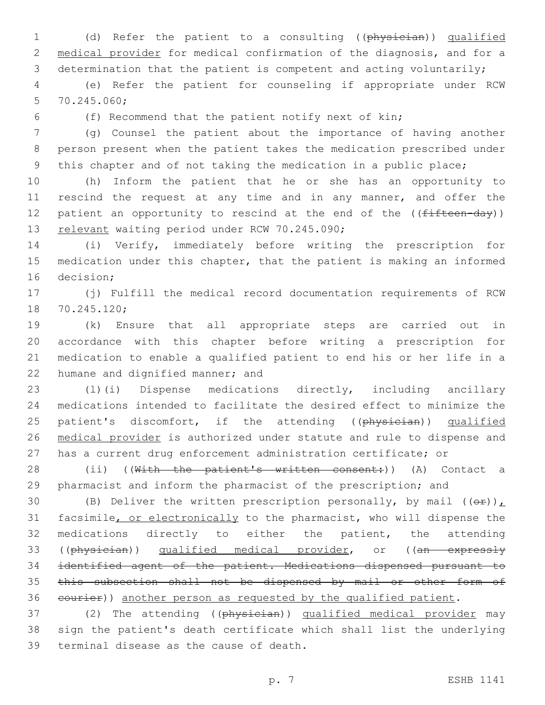1 (d) Refer the patient to a consulting ((physician)) qualified 2 medical provider for medical confirmation of the diagnosis, and for a 3 determination that the patient is competent and acting voluntarily;

4 (e) Refer the patient for counseling if appropriate under RCW 70.245.060;5

6 (f) Recommend that the patient notify next of kin;

7 (g) Counsel the patient about the importance of having another 8 person present when the patient takes the medication prescribed under 9 this chapter and of not taking the medication in a public place;

10 (h) Inform the patient that he or she has an opportunity to 11 rescind the request at any time and in any manner, and offer the 12 patient an opportunity to rescind at the end of the  $($  ( $f$ ifteen-day)) 13 relevant waiting period under RCW 70.245.090;

14 (i) Verify, immediately before writing the prescription for 15 medication under this chapter, that the patient is making an informed 16 decision:

17 (j) Fulfill the medical record documentation requirements of RCW 18 70.245.120;

 (k) Ensure that all appropriate steps are carried out in accordance with this chapter before writing a prescription for medication to enable a qualified patient to end his or her life in a 22 humane and dignified manner; and

 (l)(i) Dispense medications directly, including ancillary medications intended to facilitate the desired effect to minimize the 25 patient's discomfort, if the attending ((physician)) qualified medical provider is authorized under statute and rule to dispense and has a current drug enforcement administration certificate; or

28 (ii) ((With the patient's written consent:)) (A) Contact a 29 pharmacist and inform the pharmacist of the prescription; and

30 (B) Deliver the written prescription personally, by mail  $((\theta \cdot \mathbf{r}))$ 31 facsimile, or electronically to the pharmacist, who will dispense the 32 medications directly to either the patient, the attending 33 ((physician)) qualified medical provider, or ((an expressly 34 identified agent of the patient. Medications dispensed pursuant to 35 this subsection shall not be dispensed by mail or other form of 36 eourier)) another person as requested by the qualified patient.

37 (2) The attending ((physician)) qualified medical provider may 38 sign the patient's death certificate which shall list the underlying 39 terminal disease as the cause of death.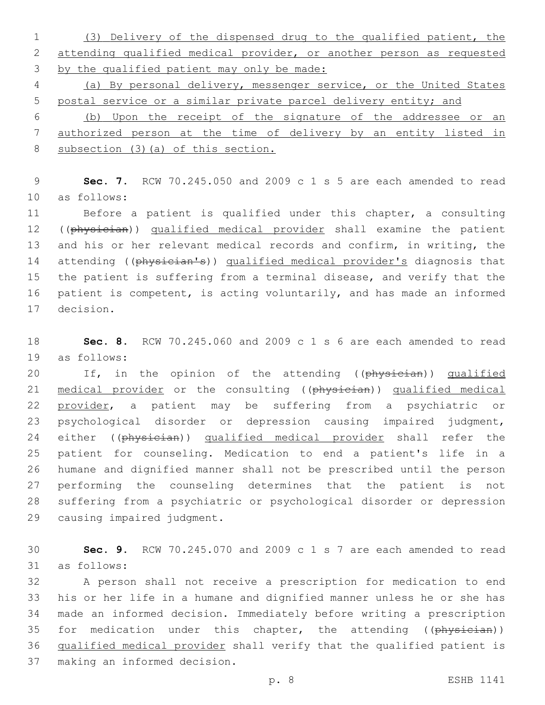(3) Delivery of the dispensed drug to the qualified patient, the attending qualified medical provider, or another person as requested by the qualified patient may only be made:

 (a) By personal delivery, messenger service, or the United States postal service or a similar private parcel delivery entity; and

 (b) Upon the receipt of the signature of the addressee or an authorized person at the time of delivery by an entity listed in 8 subsection (3) (a) of this section.

 **Sec. 7.** RCW 70.245.050 and 2009 c 1 s 5 are each amended to read 10 as follows:

 Before a patient is qualified under this chapter, a consulting 12 ((physician)) qualified medical provider shall examine the patient and his or her relevant medical records and confirm, in writing, the 14 attending ((physician's)) qualified medical provider's diagnosis that the patient is suffering from a terminal disease, and verify that the patient is competent, is acting voluntarily, and has made an informed 17 decision.

 **Sec. 8.** RCW 70.245.060 and 2009 c 1 s 6 are each amended to read 19 as follows:

20 If, in the opinion of the attending ((physician)) qualified 21 medical provider or the consulting ((physician)) qualified medical provider, a patient may be suffering from a psychiatric or psychological disorder or depression causing impaired judgment, 24 either ((physician)) qualified medical provider shall refer the patient for counseling. Medication to end a patient's life in a humane and dignified manner shall not be prescribed until the person performing the counseling determines that the patient is not suffering from a psychiatric or psychological disorder or depression 29 causing impaired judgment.

 **Sec. 9.** RCW 70.245.070 and 2009 c 1 s 7 are each amended to read 31 as follows:

 A person shall not receive a prescription for medication to end his or her life in a humane and dignified manner unless he or she has made an informed decision. Immediately before writing a prescription 35 for medication under this chapter, the attending ((physician)) qualified medical provider shall verify that the qualified patient is 37 making an informed decision.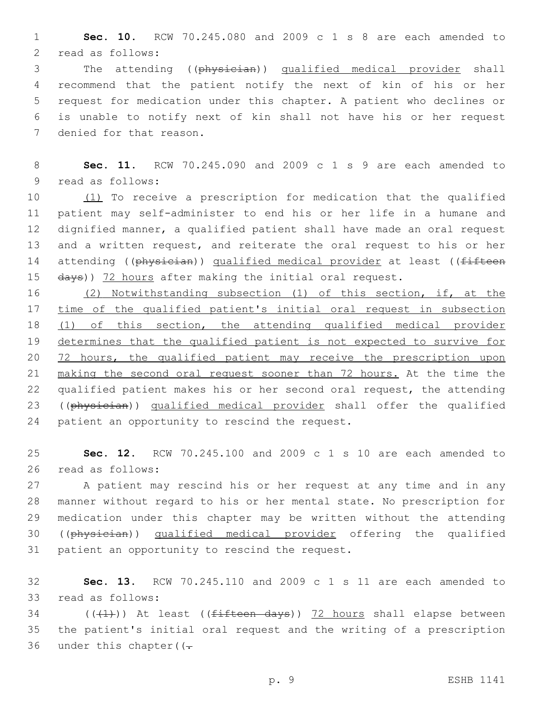1 **Sec. 10.** RCW 70.245.080 and 2009 c 1 s 8 are each amended to 2 read as follows:

 The attending ((physician)) qualified medical provider shall recommend that the patient notify the next of kin of his or her request for medication under this chapter. A patient who declines or is unable to notify next of kin shall not have his or her request 7 denied for that reason.

8 **Sec. 11.** RCW 70.245.090 and 2009 c 1 s 9 are each amended to 9 read as follows:

 (1) To receive a prescription for medication that the qualified patient may self-administer to end his or her life in a humane and dignified manner, a qualified patient shall have made an oral request and a written request, and reiterate the oral request to his or her 14 attending ((physician)) qualified medical provider at least ((fifteen 15 days)) 72 hours after making the initial oral request.

16 (2) Notwithstanding subsection (1) of this section, if, at the 17 time of the qualified patient's initial oral request in subsection 18 (1) of this section, the attending qualified medical provider 19 determines that the qualified patient is not expected to survive for 20 72 hours, the qualified patient may receive the prescription upon 21 making the second oral request sooner than 72 hours. At the time the 22 qualified patient makes his or her second oral request, the attending 23 ((physician)) qualified medical provider shall offer the qualified 24 patient an opportunity to rescind the request.

25 **Sec. 12.** RCW 70.245.100 and 2009 c 1 s 10 are each amended to 26 read as follows:

 A patient may rescind his or her request at any time and in any manner without regard to his or her mental state. No prescription for medication under this chapter may be written without the attending ((physician)) qualified medical provider offering the qualified 31 patient an opportunity to rescind the request.

32 **Sec. 13.** RCW 70.245.110 and 2009 c 1 s 11 are each amended to 33 read as follows:

34 ( $(\overline{+1})$ ) At least (( $f$ ifteen days)) 72 hours shall elapse between 35 the patient's initial oral request and the writing of a prescription 36 under this chapter  $($ .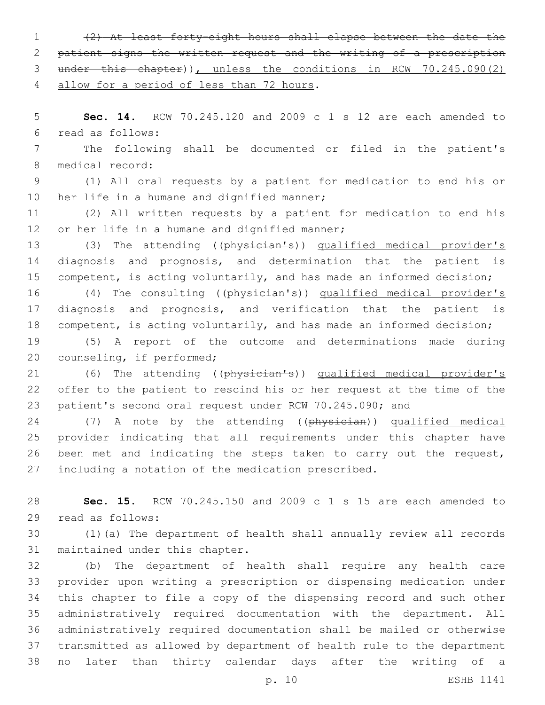(2) At least forty-eight hours shall elapse between the date the patient signs the written request and the writing of a prescription under this chapter)), unless the conditions in RCW 70.245.090(2) 4 allow for a period of less than 72 hours.

 **Sec. 14.** RCW 70.245.120 and 2009 c 1 s 12 are each amended to read as follows:6

 The following shall be documented or filed in the patient's 8 medical record:

 (1) All oral requests by a patient for medication to end his or 10 her life in a humane and dignified manner;

 (2) All written requests by a patient for medication to end his 12 or her life in a humane and dignified manner;

13 (3) The attending ((physician's)) qualified medical provider's diagnosis and prognosis, and determination that the patient is 15 competent, is acting voluntarily, and has made an informed decision;

 (4) The consulting ((physician's)) qualified medical provider's diagnosis and prognosis, and verification that the patient is competent, is acting voluntarily, and has made an informed decision;

 (5) A report of the outcome and determinations made during 20 counseling, if performed;

 (6) The attending ((physician's)) qualified medical provider's offer to the patient to rescind his or her request at the time of the patient's second oral request under RCW 70.245.090; and

24 (7) A note by the attending ((physician)) qualified medical 25 provider indicating that all requirements under this chapter have been met and indicating the steps taken to carry out the request, including a notation of the medication prescribed.

 **Sec. 15.** RCW 70.245.150 and 2009 c 1 s 15 are each amended to 29 read as follows:

 (1)(a) The department of health shall annually review all records 31 maintained under this chapter.

 (b) The department of health shall require any health care provider upon writing a prescription or dispensing medication under this chapter to file a copy of the dispensing record and such other administratively required documentation with the department. All administratively required documentation shall be mailed or otherwise transmitted as allowed by department of health rule to the department no later than thirty calendar days after the writing of a

p. 10 ESHB 1141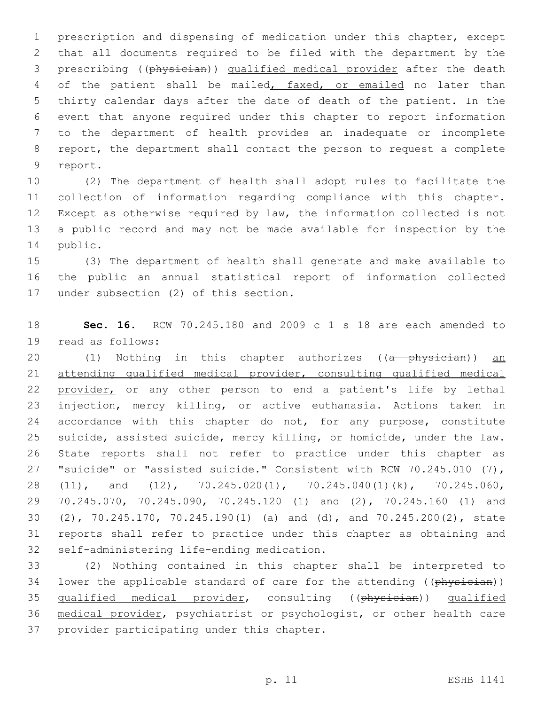prescription and dispensing of medication under this chapter, except that all documents required to be filed with the department by the prescribing ((physician)) qualified medical provider after the death 4 of the patient shall be mailed, faxed, or emailed no later than thirty calendar days after the date of death of the patient. In the event that anyone required under this chapter to report information to the department of health provides an inadequate or incomplete report, the department shall contact the person to request a complete 9 report.

 (2) The department of health shall adopt rules to facilitate the collection of information regarding compliance with this chapter. Except as otherwise required by law, the information collected is not a public record and may not be made available for inspection by the 14 public.

 (3) The department of health shall generate and make available to the public an annual statistical report of information collected 17 under subsection (2) of this section.

 **Sec. 16.** RCW 70.245.180 and 2009 c 1 s 18 are each amended to 19 read as follows:

20 (1) Nothing in this chapter authorizes ((a physician)) an attending qualified medical provider, consulting qualified medical 22 provider, or any other person to end a patient's life by lethal injection, mercy killing, or active euthanasia. Actions taken in 24 accordance with this chapter do not, for any purpose, constitute suicide, assisted suicide, mercy killing, or homicide, under the law. State reports shall not refer to practice under this chapter as "suicide" or "assisted suicide." Consistent with RCW 70.245.010 (7), (11), and (12), 70.245.020(1), 70.245.040(1)(k), 70.245.060, 70.245.070, 70.245.090, 70.245.120 (1) and (2), 70.245.160 (1) and (2), 70.245.170, 70.245.190(1) (a) and (d), and 70.245.200(2), state reports shall refer to practice under this chapter as obtaining and 32 self-administering life-ending medication.

 (2) Nothing contained in this chapter shall be interpreted to 34 lower the applicable standard of care for the attending ((physician)) 35 qualified medical provider, consulting ((physician)) qualified medical provider, psychiatrist or psychologist, or other health care 37 provider participating under this chapter.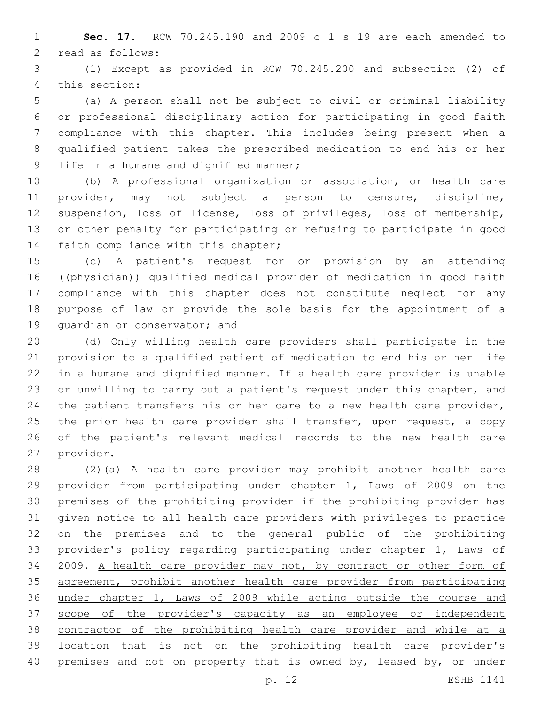**Sec. 17.** RCW 70.245.190 and 2009 c 1 s 19 are each amended to 2 read as follows:

 (1) Except as provided in RCW 70.245.200 and subsection (2) of 4 this section:

 (a) A person shall not be subject to civil or criminal liability or professional disciplinary action for participating in good faith compliance with this chapter. This includes being present when a qualified patient takes the prescribed medication to end his or her 9 life in a humane and dignified manner;

 (b) A professional organization or association, or health care provider, may not subject a person to censure, discipline, suspension, loss of license, loss of privileges, loss of membership, or other penalty for participating or refusing to participate in good 14 faith compliance with this chapter;

 (c) A patient's request for or provision by an attending 16 ((physician)) qualified medical provider of medication in good faith compliance with this chapter does not constitute neglect for any purpose of law or provide the sole basis for the appointment of a 19 quardian or conservator; and

 (d) Only willing health care providers shall participate in the provision to a qualified patient of medication to end his or her life in a humane and dignified manner. If a health care provider is unable or unwilling to carry out a patient's request under this chapter, and the patient transfers his or her care to a new health care provider, 25 the prior health care provider shall transfer, upon request, a copy of the patient's relevant medical records to the new health care 27 provider.

 (2)(a) A health care provider may prohibit another health care provider from participating under chapter 1, Laws of 2009 on the premises of the prohibiting provider if the prohibiting provider has given notice to all health care providers with privileges to practice on the premises and to the general public of the prohibiting provider's policy regarding participating under chapter 1, Laws of 2009. A health care provider may not, by contract or other form of agreement, prohibit another health care provider from participating under chapter 1, Laws of 2009 while acting outside the course and scope of the provider's capacity as an employee or independent contractor of the prohibiting health care provider and while at a location that is not on the prohibiting health care provider's 40 premises and not on property that is owned by, leased by, or under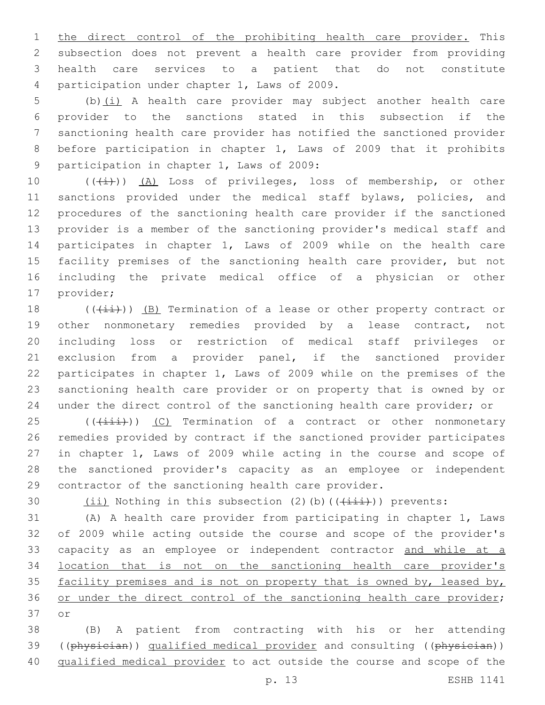1 the direct control of the prohibiting health care provider. This subsection does not prevent a health care provider from providing health care services to a patient that do not constitute 4 participation under chapter 1, Laws of 2009.

 (b)(i) A health care provider may subject another health care provider to the sanctions stated in this subsection if the sanctioning health care provider has notified the sanctioned provider before participation in chapter 1, Laws of 2009 that it prohibits 9 participation in chapter 1, Laws of 2009:

10 (((i)) (A) Loss of privileges, loss of membership, or other 11 sanctions provided under the medical staff bylaws, policies, and procedures of the sanctioning health care provider if the sanctioned provider is a member of the sanctioning provider's medical staff and participates in chapter 1, Laws of 2009 while on the health care facility premises of the sanctioning health care provider, but not including the private medical office of a physician or other 17 provider;

 $((\overrightarrow{\pm}i))$  (B) Termination of a lease or other property contract or other nonmonetary remedies provided by a lease contract, not including loss or restriction of medical staff privileges or exclusion from a provider panel, if the sanctioned provider participates in chapter 1, Laws of 2009 while on the premises of the sanctioning health care provider or on property that is owned by or under the direct control of the sanctioning health care provider; or

25 (( $(i\text{init})$ ) (C) Termination of a contract or other nonmonetary remedies provided by contract if the sanctioned provider participates in chapter 1, Laws of 2009 while acting in the course and scope of the sanctioned provider's capacity as an employee or independent contractor of the sanctioning health care provider.

30  $(iii)$  Nothing in this subsection (2)(b)( $(\overrightarrow{+i}i)$ ) prevents:

 (A) A health care provider from participating in chapter 1, Laws of 2009 while acting outside the course and scope of the provider's 33 capacity as an employee or independent contractor and while at a location that is not on the sanctioning health care provider's 35 facility premises and is not on property that is owned by, leased by, 36 or under the direct control of the sanctioning health care provider; 37 or

 (B) A patient from contracting with his or her attending 39 ((physician)) qualified medical provider and consulting ((physician)) qualified medical provider to act outside the course and scope of the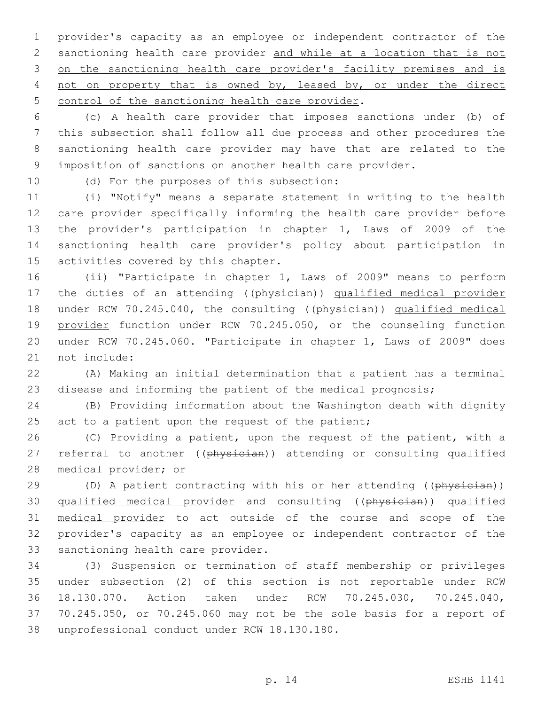1 provider's capacity as an employee or independent contractor of the 2 sanctioning health care provider and while at a location that is not 3 on the sanctioning health care provider's facility premises and is 4 not on property that is owned by, leased by, or under the direct 5 control of the sanctioning health care provider.

 (c) A health care provider that imposes sanctions under (b) of this subsection shall follow all due process and other procedures the sanctioning health care provider may have that are related to the imposition of sanctions on another health care provider.

10 (d) For the purposes of this subsection:

 (i) "Notify" means a separate statement in writing to the health care provider specifically informing the health care provider before the provider's participation in chapter 1, Laws of 2009 of the sanctioning health care provider's policy about participation in 15 activities covered by this chapter.

16 (ii) "Participate in chapter 1, Laws of 2009" means to perform 17 the duties of an attending ((physician)) qualified medical provider 18 under RCW 70.245.040, the consulting ((physician)) qualified medical 19 provider function under RCW 70.245.050, or the counseling function 20 under RCW 70.245.060. "Participate in chapter 1, Laws of 2009" does 21 not include:

22 (A) Making an initial determination that a patient has a terminal 23 disease and informing the patient of the medical prognosis;

24 (B) Providing information about the Washington death with dignity 25 act to a patient upon the request of the patient;

26 (C) Providing a patient, upon the request of the patient, with a 27 referral to another ((physician)) attending or consulting qualified 28 medical provider; or

29 (D) A patient contracting with his or her attending ((physician)) 30 qualified medical provider and consulting ((physician)) qualified 31 medical provider to act outside of the course and scope of the 32 provider's capacity as an employee or independent contractor of the 33 sanctioning health care provider.

 (3) Suspension or termination of staff membership or privileges under subsection (2) of this section is not reportable under RCW 18.130.070. Action taken under RCW 70.245.030, 70.245.040, 70.245.050, or 70.245.060 may not be the sole basis for a report of 38 unprofessional conduct under RCW 18.130.180.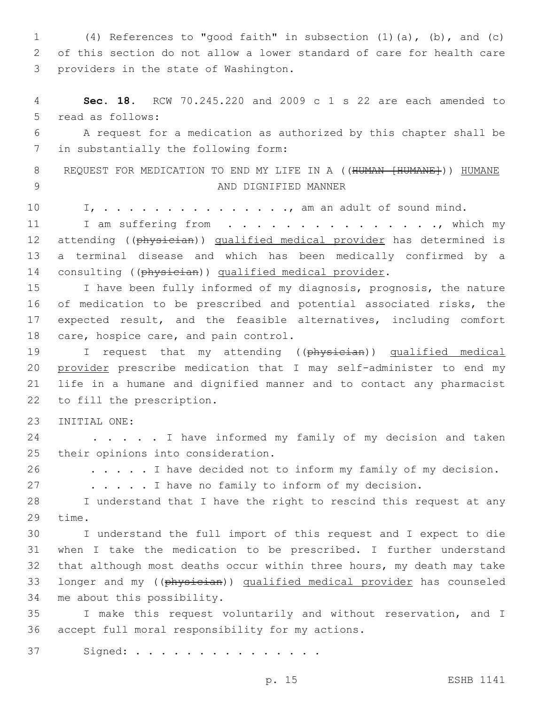1 (4) References to "good faith" in subsection (1)(a), (b), and (c) 2 of this section do not allow a lower standard of care for health care 3 providers in the state of Washington.

4 **Sec. 18.** RCW 70.245.220 and 2009 c 1 s 22 are each amended to 5 read as follows:

6 A request for a medication as authorized by this chapter shall be 7 in substantially the following form:

8 REQUEST FOR MEDICATION TO END MY LIFE IN A ((HUMAN [HUMANE])) HUMANE 9 AND DIGNIFIED MANNER

10 I, . . . . . . . . . . . . . . . . am an adult of sound mind.

11 I am suffering from . . . . . . . . . . . . . . . , which my 12 attending ((physician)) qualified medical provider has determined is 13 a terminal disease and which has been medically confirmed by a 14 consulting ((physician)) qualified medical provider.

 I have been fully informed of my diagnosis, prognosis, the nature of medication to be prescribed and potential associated risks, the expected result, and the feasible alternatives, including comfort 18 care, hospice care, and pain control.

19 I request that my attending ((physician)) qualified medical 20 provider prescribe medication that I may self-administer to end my 21 life in a humane and dignified manner and to contact any pharmacist 22 to fill the prescription.

23 INITIAL ONE:

24 . . . . I have informed my family of my decision and taken 25 their opinions into consideration.

26 . . . . . I have decided not to inform my family of my decision.

27 . . . . . I have no family to inform of my decision.

28 I understand that I have the right to rescind this request at any 29 time.

30 I understand the full import of this request and I expect to die 31 when I take the medication to be prescribed. I further understand 32 that although most deaths occur within three hours, my death may take 33 longer and my ((physician)) qualified medical provider has counseled 34 me about this possibility.

35 I make this request voluntarily and without reservation, and I 36 accept full moral responsibility for my actions.

37 Signed: . . . . . . . . . . . . . .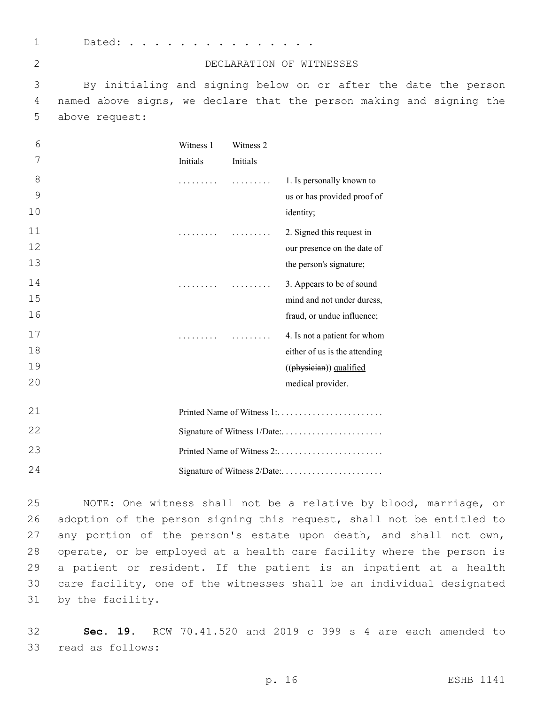1 Dated: . . . . . . . . . . .

| ۰,<br>ı |  |
|---------|--|
| ۰.      |  |

## DECLARATION OF WITNESSES

3 By initialing and signing below on or after the date the person 4 named above signs, we declare that the person making and signing the 5 above request:

| 6  | Witness 1 | Witness 2 |                               |  |
|----|-----------|-----------|-------------------------------|--|
| 7  | Initials  | Initials  |                               |  |
| 8  |           |           | 1. Is personally known to     |  |
| 9  |           |           | us or has provided proof of   |  |
| 10 |           |           | identity;                     |  |
| 11 | .         |           | 2. Signed this request in     |  |
| 12 |           |           | our presence on the date of   |  |
| 13 |           |           | the person's signature;       |  |
| 14 | .         |           | 3. Appears to be of sound     |  |
| 15 |           |           | mind and not under duress,    |  |
| 16 |           |           | fraud, or undue influence;    |  |
| 17 | .         |           | 4. Is not a patient for whom  |  |
| 18 |           |           | either of us is the attending |  |
| 19 |           |           | ((physician)) qualified       |  |
| 20 |           |           | medical provider.             |  |
| 21 |           |           | Printed Name of Witness 1:    |  |
| 22 |           |           |                               |  |
| 23 |           |           |                               |  |
|    |           |           |                               |  |

24 Signature of Witness 2/Date:. . . . . . . . . . . . . . . . . . . . . . .

 NOTE: One witness shall not be a relative by blood, marriage, or adoption of the person signing this request, shall not be entitled to 27 any portion of the person's estate upon death, and shall not own, operate, or be employed at a health care facility where the person is a patient or resident. If the patient is an inpatient at a health care facility, one of the witnesses shall be an individual designated 31 by the facility.

32 **Sec. 19.** RCW 70.41.520 and 2019 c 399 s 4 are each amended to 33 read as follows: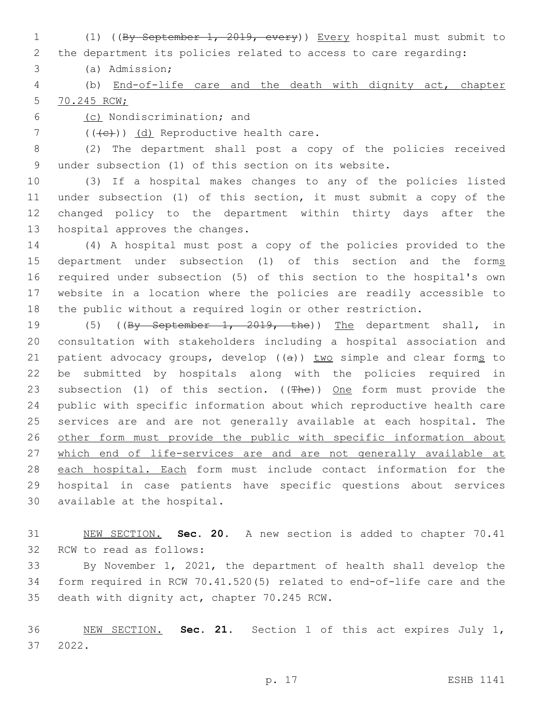(1) ((By September 1, 2019, every)) Every hospital must submit to the department its policies related to access to care regarding:

(a) Admission;3

 (b) End-of-life care and the death with dignity act, chapter 70.245 RCW;

6 (c) Nondiscrimination; and

7 (((+e)) (d) Reproductive health care.

 (2) The department shall post a copy of the policies received under subsection (1) of this section on its website.

 (3) If a hospital makes changes to any of the policies listed under subsection (1) of this section, it must submit a copy of the changed policy to the department within thirty days after the 13 hospital approves the changes.

 (4) A hospital must post a copy of the policies provided to the 15 department under subsection (1) of this section and the forms required under subsection (5) of this section to the hospital's own website in a location where the policies are readily accessible to the public without a required login or other restriction.

19 (5) ((By September 1, 2019, the)) The department shall, in consultation with stakeholders including a hospital association and 21 patient advocacy groups, develop  $((a))$  two simple and clear forms to be submitted by hospitals along with the policies required in 23 subsection (1) of this section. ((The)) One form must provide the public with specific information about which reproductive health care services are and are not generally available at each hospital. The other form must provide the public with specific information about 27 which end of life-services are and are not generally available at 28 each hospital. Each form must include contact information for the hospital in case patients have specific questions about services 30 available at the hospital.

 NEW SECTION. **Sec. 20.** A new section is added to chapter 70.41 32 RCW to read as follows:

 By November 1, 2021, the department of health shall develop the form required in RCW 70.41.520(5) related to end-of-life care and the 35 death with dignity act, chapter 70.245 RCW.

 NEW SECTION. **Sec. 21.** Section 1 of this act expires July 1, 2022.